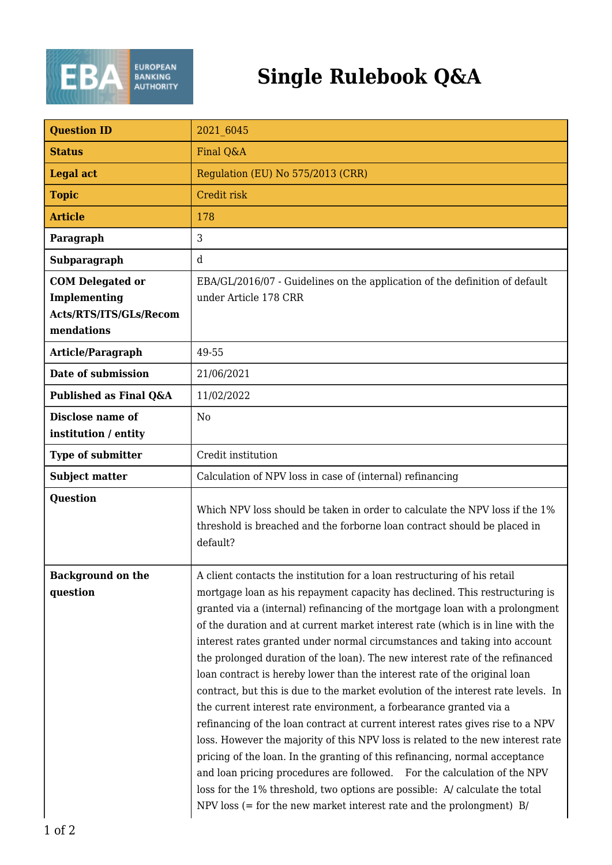

## **Single Rulebook Q&A**

| <b>Question ID</b>                                                              | 2021 6045                                                                                                                                                                                                                                                                                                                                                                                                                                                                                                                                                                                                                                                                                                                                                                                                                                                                                                                                                                                                                                                                                                                                                                                                                 |
|---------------------------------------------------------------------------------|---------------------------------------------------------------------------------------------------------------------------------------------------------------------------------------------------------------------------------------------------------------------------------------------------------------------------------------------------------------------------------------------------------------------------------------------------------------------------------------------------------------------------------------------------------------------------------------------------------------------------------------------------------------------------------------------------------------------------------------------------------------------------------------------------------------------------------------------------------------------------------------------------------------------------------------------------------------------------------------------------------------------------------------------------------------------------------------------------------------------------------------------------------------------------------------------------------------------------|
| <b>Status</b>                                                                   | Final Q&A                                                                                                                                                                                                                                                                                                                                                                                                                                                                                                                                                                                                                                                                                                                                                                                                                                                                                                                                                                                                                                                                                                                                                                                                                 |
| <b>Legal act</b>                                                                | Regulation (EU) No 575/2013 (CRR)                                                                                                                                                                                                                                                                                                                                                                                                                                                                                                                                                                                                                                                                                                                                                                                                                                                                                                                                                                                                                                                                                                                                                                                         |
| <b>Topic</b>                                                                    | Credit risk                                                                                                                                                                                                                                                                                                                                                                                                                                                                                                                                                                                                                                                                                                                                                                                                                                                                                                                                                                                                                                                                                                                                                                                                               |
| <b>Article</b>                                                                  | 178                                                                                                                                                                                                                                                                                                                                                                                                                                                                                                                                                                                                                                                                                                                                                                                                                                                                                                                                                                                                                                                                                                                                                                                                                       |
| Paragraph                                                                       | 3                                                                                                                                                                                                                                                                                                                                                                                                                                                                                                                                                                                                                                                                                                                                                                                                                                                                                                                                                                                                                                                                                                                                                                                                                         |
| Subparagraph                                                                    | $\mathbf d$                                                                                                                                                                                                                                                                                                                                                                                                                                                                                                                                                                                                                                                                                                                                                                                                                                                                                                                                                                                                                                                                                                                                                                                                               |
| <b>COM Delegated or</b><br>Implementing<br>Acts/RTS/ITS/GLs/Recom<br>mendations | EBA/GL/2016/07 - Guidelines on the application of the definition of default<br>under Article 178 CRR                                                                                                                                                                                                                                                                                                                                                                                                                                                                                                                                                                                                                                                                                                                                                                                                                                                                                                                                                                                                                                                                                                                      |
| Article/Paragraph                                                               | 49-55                                                                                                                                                                                                                                                                                                                                                                                                                                                                                                                                                                                                                                                                                                                                                                                                                                                                                                                                                                                                                                                                                                                                                                                                                     |
| Date of submission                                                              | 21/06/2021                                                                                                                                                                                                                                                                                                                                                                                                                                                                                                                                                                                                                                                                                                                                                                                                                                                                                                                                                                                                                                                                                                                                                                                                                |
| Published as Final Q&A                                                          | 11/02/2022                                                                                                                                                                                                                                                                                                                                                                                                                                                                                                                                                                                                                                                                                                                                                                                                                                                                                                                                                                                                                                                                                                                                                                                                                |
| Disclose name of<br>institution / entity                                        | N <sub>0</sub>                                                                                                                                                                                                                                                                                                                                                                                                                                                                                                                                                                                                                                                                                                                                                                                                                                                                                                                                                                                                                                                                                                                                                                                                            |
| Type of submitter                                                               | Credit institution                                                                                                                                                                                                                                                                                                                                                                                                                                                                                                                                                                                                                                                                                                                                                                                                                                                                                                                                                                                                                                                                                                                                                                                                        |
| <b>Subject matter</b>                                                           | Calculation of NPV loss in case of (internal) refinancing                                                                                                                                                                                                                                                                                                                                                                                                                                                                                                                                                                                                                                                                                                                                                                                                                                                                                                                                                                                                                                                                                                                                                                 |
| <b>Question</b>                                                                 | Which NPV loss should be taken in order to calculate the NPV loss if the 1%<br>threshold is breached and the forborne loan contract should be placed in<br>default?                                                                                                                                                                                                                                                                                                                                                                                                                                                                                                                                                                                                                                                                                                                                                                                                                                                                                                                                                                                                                                                       |
| <b>Background on the</b><br>question                                            | A client contacts the institution for a loan restructuring of his retail<br>mortgage loan as his repayment capacity has declined. This restructuring is<br>granted via a (internal) refinancing of the mortgage loan with a prolongment<br>of the duration and at current market interest rate (which is in line with the<br>interest rates granted under normal circumstances and taking into account<br>the prolonged duration of the loan). The new interest rate of the refinanced<br>loan contract is hereby lower than the interest rate of the original loan<br>contract, but this is due to the market evolution of the interest rate levels. In<br>the current interest rate environment, a forbearance granted via a<br>refinancing of the loan contract at current interest rates gives rise to a NPV<br>loss. However the majority of this NPV loss is related to the new interest rate<br>pricing of the loan. In the granting of this refinancing, normal acceptance<br>and loan pricing procedures are followed. For the calculation of the NPV<br>loss for the 1% threshold, two options are possible: A/ calculate the total<br>NPV loss $(=$ for the new market interest rate and the prolongment) $B/$ |